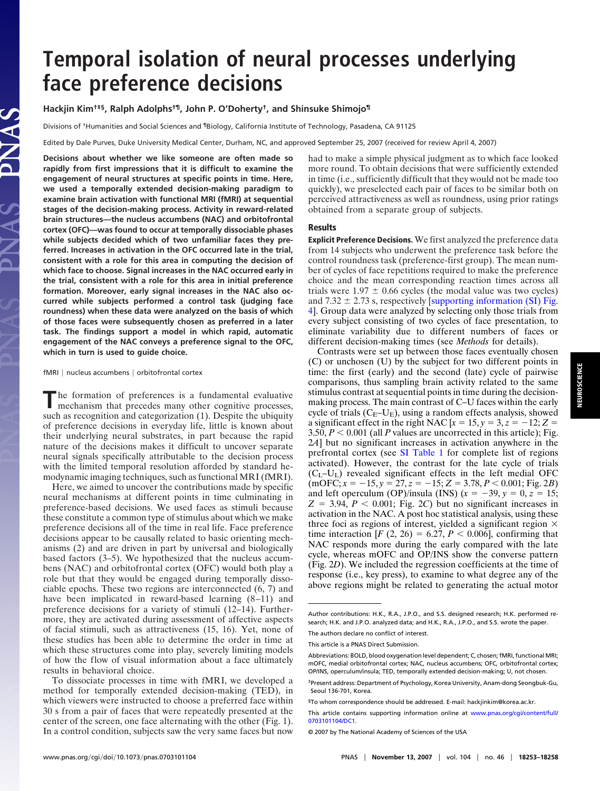# **Temporal isolation of neural processes underlying face preference decisions**

## **Hackjin Kim†‡§, Ralph Adolphs†¶, John P. O'Doherty†, and Shinsuke Shimojo¶**

Divisions of †Humanities and Social Sciences and ¶Biology, California Institute of Technology, Pasadena, CA 91125

Edited by Dale Purves, Duke University Medical Center, Durham, NC, and approved September 25, 2007 (received for review April 4, 2007)

**Decisions about whether we like someone are often made so rapidly from first impressions that it is difficult to examine the engagement of neural structures at specific points in time. Here, we used a temporally extended decision-making paradigm to examine brain activation with functional MRI (fMRI) at sequential stages of the decision-making process. Activity in reward-related brain structures—the nucleus accumbens (NAC) and orbitofrontal cortex (OFC)—was found to occur at temporally dissociable phases while subjects decided which of two unfamiliar faces they preferred. Increases in activation in the OFC occurred late in the trial, consistent with a role for this area in computing the decision of which face to choose. Signal increases in the NAC occurred early in the trial, consistent with a role for this area in initial preference formation. Moreover, early signal increases in the NAC also occurred while subjects performed a control task (judging face roundness) when these data were analyzed on the basis of which of those faces were subsequently chosen as preferred in a later task. The findings support a model in which rapid, automatic engagement of the NAC conveys a preference signal to the OFC, which in turn is used to guide choice.**

#### fMRI | nucleus accumbens | orbitofrontal cortex

The formation of preferences is a fundamental evaluative mechanism that precedes many other cognitive processes, such as recognition and categorization (1). Despite the ubiquity of preference decisions in everyday life, little is known about their underlying neural substrates, in part because the rapid nature of the decisions makes it difficult to uncover separate neural signals specifically attributable to the decision process with the limited temporal resolution afforded by standard hemodynamic imaging techniques, such as functional MRI (fMRI).

Here, we aimed to uncover the contributions made by specific neural mechanisms at different points in time culminating in preference-based decisions. We used faces as stimuli because these constitute a common type of stimulus about which we make preference decisions all of the time in real life. Face preference decisions appear to be causally related to basic orienting mechanisms (2) and are driven in part by universal and biologically based factors (3–5). We hypothesized that the nucleus accumbens (NAC) and orbitofrontal cortex (OFC) would both play a role but that they would be engaged during temporally dissociable epochs. These two regions are interconnected (6, 7) and have been implicated in reward-based learning  $(8-11)$  and preference decisions for a variety of stimuli (12–14). Furthermore, they are activated during assessment of affective aspects of facial stimuli, such as attractiveness (15, 16). Yet, none of these studies has been able to determine the order in time at which these structures come into play, severely limiting models of how the flow of visual information about a face ultimately results in behavioral choice.

To dissociate processes in time with fMRI, we developed a method for temporally extended decision-making (TED), in which viewers were instructed to choose a preferred face within 30 s from a pair of faces that were repeatedly presented at the center of the screen, one face alternating with the other (Fig. 1). In a control condition, subjects saw the very same faces but now

had to make a simple physical judgment as to which face looked more round. To obtain decisions that were sufficiently extended in time (i.e., sufficiently difficult that they would not be made too quickly), we preselected each pair of faces to be similar both on perceived attractiveness as well as roundness, using prior ratings obtained from a separate group of subjects.

#### **Results**

**Explicit Preference Decisions.** We first analyzed the preference data from 14 subjects who underwent the preference task before the control roundness task (preference-first group). The mean number of cycles of face repetitions required to make the preference choice and the mean corresponding reaction times across all trials were  $1.97 \pm 0.66$  cycles (the modal value was two cycles) and 7.32  $\pm$  2.73 s, respectively [\[supporting information \(SI\) Fig.](http://www.pnas.org/cgi/content/full/0703101104/DC1) [4\]](http://www.pnas.org/cgi/content/full/0703101104/DC1). Group data were analyzed by selecting only those trials from every subject consisting of two cycles of face presentation, to eliminate variability due to different numbers of faces or different decision-making times (see *Methods* for details).

Contrasts were set up between those faces eventually chosen (C) or unchosen (U) by the subject for two different points in time: the first (early) and the second (late) cycle of pairwise comparisons, thus sampling brain activity related to the same stimulus contrast at sequential points in time during the decisionmaking process. The main contrast of C–U faces within the early cycle of trials  $(C_E-U_E)$ , using a random effects analysis, showed a significant effect in the right NAC  $[x = 15, y = 3, z = -12; Z =$ 3.50,  $P < 0.001$  (all *P* values are uncorrected in this article); Fig. 2*A*] but no significant increases in activation anywhere in the prefrontal cortex (see [SI Table 1](http://www.pnas.org/cgi/content/full/0703101104/DC1) for complete list of regions activated). However, the contrast for the late cycle of trials  $(C_L-U_L)$  revealed significant effects in the left medial OFC  $(mOFC; x = -15, y = 27, z = -15; Z = 3.78, P < 0.001; Fig. 2B)$ and left operculum (OP)/insula (INS)  $(x = -39, y = 0, z = 15;$  $Z = 3.94, P < 0.001$ ; Fig. 2*C*) but no significant increases in activation in the NAC. A post hoc statistical analysis, using these three foci as regions of interest, yielded a significant region  $\times$ time interaction  $[F(2, 26) = 6.27, P < 0.006]$ , confirming that NAC responds more during the early compared with the late cycle, whereas mOFC and OP/INS show the converse pattern (Fig. 2*D*). We included the regression coefficients at the time of response (i.e., key press), to examine to what degree any of the above regions might be related to generating the actual motor

**VEUROSCIENCE NEUROSCIENCE**

Author contributions: H.K., R.A., J.P.O., and S.S. designed research; H.K. performed research; H.K. and J.P.O. analyzed data; and H.K., R.A., J.P.O., and S.S. wrote the paper.

The authors declare no conflict of interest.

This article is a PNAS Direct Submission.

Abbreviations: BOLD, blood oxygenation level dependent; C, chosen; fMRI, functional MRI; mOFC, medial orbitofrontal cortex; NAC, nucleus accumbens; OFC, orbitofrontal cortex; OP/INS, operculum/insula; TED, temporally extended decision-making; U, not chosen.

<sup>‡</sup>Present address: Department of Psychology, Korea University, Anam-dong Seongbuk-Gu, Seoul 136-701, Korea.

<sup>§</sup>To whom correspondence should be addressed. E-mail: hackjinkim@korea.ac.kr.

This article contains supporting information online at [www.pnas.org/cgi/content/full/](http://www.pnas.org/cgi/content/full/0703101104/DC1) [0703101104/DC1.](http://www.pnas.org/cgi/content/full/0703101104/DC1)

<sup>© 2007</sup> by The National Academy of Sciences of the USA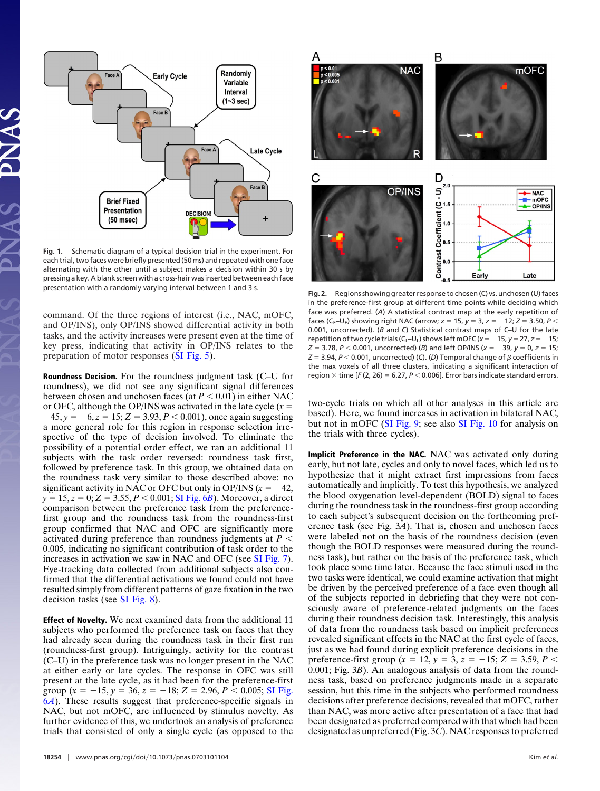

**Fig. 1.** Schematic diagram of a typical decision trial in the experiment. For each trial, two faces were briefly presented (50 ms) and repeated with one face alternating with the other until a subject makes a decision within 30 s by pressing a key. A blank screen with a cross-hair was inserted between each face presentation with a randomly varying interval between 1 and 3 s. **Fig. 2.** Regions showing greater response to chosen (C) vs. unchosen (U) faces

command. Of the three regions of interest (i.e., NAC, mOFC, and OP/INS), only OP/INS showed differential activity in both tasks, and the activity increases were present even at the time of key press, indicating that activity in OP/INS relates to the preparation of motor responses [\(SI Fig. 5\)](http://www.pnas.org/cgi/content/full/0703101104/DC1).

**Roundness Decision.** For the roundness judgment task (C–U for roundness), we did not see any significant signal differences between chosen and unchosen faces (at  $P < 0.01$ ) in either NAC or OFC, although the OP/INS was activated in the late cycle  $(x =$  $-45, y = -6, z = 15; Z = 3.93, P < 0.001$ ), once again suggesting a more general role for this region in response selection irrespective of the type of decision involved. To eliminate the possibility of a potential order effect, we ran an additional 11 subjects with the task order reversed: roundness task first, followed by preference task. In this group, we obtained data on the roundness task very similar to those described above: no significant activity in NAC or OFC but only in OP/INS  $(x = -42,$ *y* - 15, *z* - 0; *Z* - 3.55, *P* 0.001; [SI Fig. 6](http://www.pnas.org/cgi/content/full/0703101104/DC1)*B*). Moreover, a direct comparison between the preference task from the preferencefirst group and the roundness task from the roundness-first group confirmed that NAC and OFC are significantly more activated during preference than roundness judgments at *P* 0.005, indicating no significant contribution of task order to the increases in activation we saw in NAC and OFC (see [SI Fig. 7\)](http://www.pnas.org/cgi/content/full/0703101104/DC1). Eye-tracking data collected from additional subjects also confirmed that the differential activations we found could not have resulted simply from different patterns of gaze fixation in the two decision tasks (see [SI Fig. 8\)](http://www.pnas.org/cgi/content/full/0703101104/DC1).

**Effect of Novelty.** We next examined data from the additional 11 subjects who performed the preference task on faces that they had already seen during the roundness task in their first run (roundness-first group). Intriguingly, activity for the contrast (C–U) in the preference task was no longer present in the NAC at either early or late cycles. The response in OFC was still present at the late cycle, as it had been for the preference-first group ( $x = -15$ ,  $y = 36$ ,  $z = -18$ ;  $Z = 2.96$ ,  $P < 0.005$ ; [SI Fig.](http://www.pnas.org/cgi/content/full/0703101104/DC1) 6*[A](http://www.pnas.org/cgi/content/full/0703101104/DC1)*). These results suggest that preference-specific signals in NAC, but not mOFC, are influenced by stimulus novelty. As further evidence of this, we undertook an analysis of preference trials that consisted of only a single cycle (as opposed to the



in the preference-first group at different time points while deciding which face was preferred. (*A*) A statistical contrast map at the early repetition of faces (C<sub>E</sub>–U<sub>E</sub>) showing right NAC (arrow; *x* = 15, *y* = 3, *z* = −12; *Z* = 3.50, *P* < 0.001, uncorrected). (*B* and *C*) Statistical contrast maps of C–U for the late repetition of two cycle trials (C<sub>L</sub>–U<sub>L</sub>) shows left mOFC (*x* = –15, *y* = 27, *z* = –15; *Z* = 3.78, *P* < 0.001, uncorrected) (*B*) and left OP/INS (*x* = -39, *y* = 0, *z* = 15;  $Z$  = 3.94, *P* < 0.001, uncorrected) (C). (*D*) Temporal change of  $\beta$  coefficients in the max voxels of all three clusters, indicating a significant interaction of region  $\times$  time [*F* (2, 26) = 6.27, *P* < 0.006]. Error bars indicate standard errors.

two-cycle trials on which all other analyses in this article are based). Here, we found increases in activation in bilateral NAC, but not in mOFC [\(SI Fig. 9;](http://www.pnas.org/cgi/content/full/0703101104/DC1) see also [SI Fig. 10](http://www.pnas.org/cgi/content/full/0703101104/DC1) for analysis on the trials with three cycles).

**Implicit Preference in the NAC.** NAC was activated only during early, but not late, cycles and only to novel faces, which led us to hypothesize that it might extract first impressions from faces automatically and implicitly. To test this hypothesis, we analyzed the blood oxygenation level-dependent (BOLD) signal to faces during the roundness task in the roundness-first group according to each subject's subsequent decision on the forthcoming preference task (see Fig. 3*A*). That is, chosen and unchosen faces were labeled not on the basis of the roundness decision (even though the BOLD responses were measured during the roundness task), but rather on the basis of the preference task, which took place some time later. Because the face stimuli used in the two tasks were identical, we could examine activation that might be driven by the perceived preference of a face even though all of the subjects reported in debriefing that they were not consciously aware of preference-related judgments on the faces during their roundness decision task. Interestingly, this analysis of data from the roundness task based on implicit preferences revealed significant effects in the NAC at the first cycle of faces, just as we had found during explicit preference decisions in the preference-first group ( $x = 12$ ,  $y = 3$ ,  $z = -15$ ;  $Z = 3.59$ ,  $P <$ 0.001; Fig. 3*B*). An analogous analysis of data from the roundness task, based on preference judgments made in a separate session, but this time in the subjects who performed roundness decisions after preference decisions, revealed that mOFC, rather than NAC, was more active after presentation of a face that had been designated as preferred compared with that which had been designated as unpreferred (Fig. 3*C*). NAC responses to preferred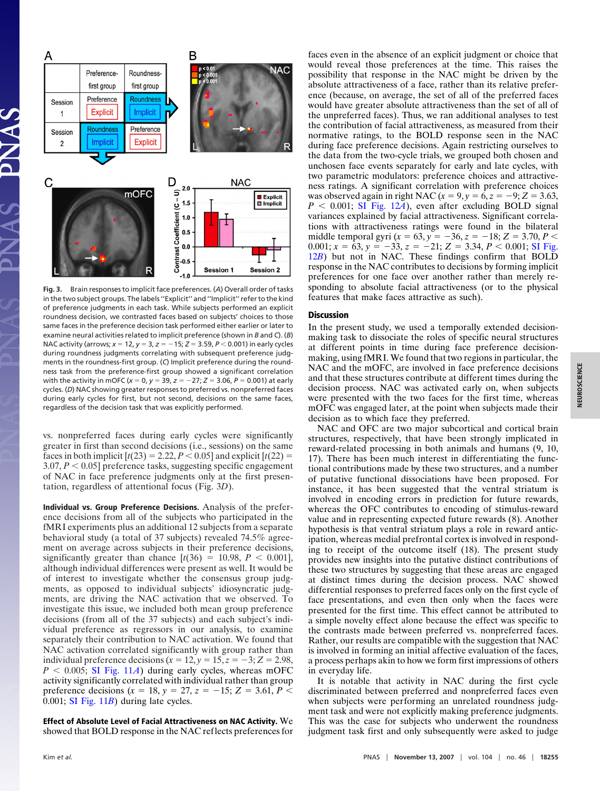

**Fig. 3.** Brain responses to implicit face preferences. (*A*) Overall order of tasks in the two subject groups. The labels ''Explicit'' and ''Implicit'' refer to the kind of preference judgments in each task. While subjects performed an explicit roundness decision, we contrasted faces based on subjects' choices to those same faces in the preference decision task performed either earlier or later to examine neural activities related to implicit preference (shown in *B* and *C*). (*B*) NAC activity (arrows; *x* = 12, *y* = 3, *z* = -15; *Z* = 3.59, *P* < 0.001) in early cycles during roundness judgments correlating with subsequent preference judgments in the roundness-first group. (*C*) Implicit preference during the roundness task from the preference-first group showed a significant correlation with the activity in mOFC (*x* = 0, *y* = 39, *z* = −27; *Z* = 3.06, *P* = 0.001) at early cycles. (D) NAC showing greater responses to preferred vs. nonpreferred faces during early cycles for first, but not second, decisions on the same faces, regardless of the decision task that was explicitly performed.

vs. nonpreferred faces during early cycles were significantly greater in first than second decisions (i.e., sessions) on the same faces in both implicit  $[t(23) = 2.22, P \lt 0.05]$  and explicit  $[t(22) =$  $3.07, P \leq 0.05$ ] preference tasks, suggesting specific engagement of NAC in face preference judgments only at the first presentation, regardless of attentional focus (Fig. 3*D*).

**Individual vs. Group Preference Decisions.** Analysis of the preference decisions from all of the subjects who participated in the fMRI experiments plus an additional 12 subjects from a separate behavioral study (a total of 37 subjects) revealed 74.5% agreement on average across subjects in their preference decisions, significantly greater than chance  $[t(36) = 10.98, P < 0.001]$ , although individual differences were present as well. It would be of interest to investigate whether the consensus group judgments, as opposed to individual subjects' idiosyncratic judgments, are driving the NAC activation that we observed. To investigate this issue, we included both mean group preference decisions (from all of the 37 subjects) and each subject's individual preference as regressors in our analysis, to examine separately their contribution to NAC activation. We found that NAC activation correlated significantly with group rather than individual preference decisions  $(x = 12, y = 15, z = -3; Z = 2.98,$  $P < 0.005$ ; [SI Fig. 11](http://www.pnas.org/cgi/content/full/0703101104/DC1)*A*) during early cycles, whereas mOFC activity significantly correlated with individual rather than group preference decisions  $(x = 18, y = 27, z = -15; Z = 3.61, P <$ 0.001; [SI Fig. 11](http://www.pnas.org/cgi/content/full/0703101104/DC1)*B*) during late cycles.

**Effect of Absolute Level of Facial Attractiveness on NAC Activity.** We showed that BOLD response in the NAC reflects preferences for faces even in the absence of an explicit judgment or choice that would reveal those preferences at the time. This raises the possibility that response in the NAC might be driven by the absolute attractiveness of a face, rather than its relative preference (because, on average, the set of all of the preferred faces would have greater absolute attractiveness than the set of all of the unpreferred faces). Thus, we ran additional analyses to test the contribution of facial attractiveness, as measured from their normative ratings, to the BOLD response seen in the NAC during face preference decisions. Again restricting ourselves to the data from the two-cycle trials, we grouped both chosen and unchosen face events separately for early and late cycles, with two parametric modulators: preference choices and attractiveness ratings. A significant correlation with preference choices was observed again in right NAC  $(x = 9, y = 6, z = -9; Z = 3.63,$  $P < 0.001$ ; [SI Fig. 12](http://www.pnas.org/cgi/content/full/0703101104/DC1)*A*), even after excluding BOLD signal variances explained by facial attractiveness. Significant correlations with attractiveness ratings were found in the bilateral middle temporal gyri ( $x = 63$ ,  $y = -36$ ,  $z = -18$ ;  $Z = 3.70$ ,  $P <$  $0.001; x = 63, y = -33, z = -21; Z = 3.34, P < 0.001;$  [SI Fig.](http://www.pnas.org/cgi/content/full/0703101104/DC1) [12](http://www.pnas.org/cgi/content/full/0703101104/DC1)*B*) but not in NAC. These findings confirm that BOLD response in the NAC contributes to decisions by forming implicit preferences for one face over another rather than merely responding to absolute facial attractiveness (or to the physical features that make faces attractive as such).

#### **Discussion**

In the present study, we used a temporally extended decisionmaking task to dissociate the roles of specific neural structures at different points in time during face preference decisionmaking, using fMRI. We found that two regions in particular, the NAC and the mOFC, are involved in face preference decisions and that these structures contribute at different times during the decision process. NAC was activated early on, when subjects were presented with the two faces for the first time, whereas mOFC was engaged later, at the point when subjects made their decision as to which face they preferred.

NAC and OFC are two major subcortical and cortical brain structures, respectively, that have been strongly implicated in reward-related processing in both animals and humans (9, 10, 17). There has been much interest in differentiating the functional contributions made by these two structures, and a number of putative functional dissociations have been proposed. For instance, it has been suggested that the ventral striatum is involved in encoding errors in prediction for future rewards, whereas the OFC contributes to encoding of stimulus-reward value and in representing expected future rewards (8). Another hypothesis is that ventral striatum plays a role in reward anticipation, whereas medial prefrontal cortex is involved in responding to receipt of the outcome itself (18). The present study provides new insights into the putative distinct contributions of these two structures by suggesting that these areas are engaged at distinct times during the decision process. NAC showed differential responses to preferred faces only on the first cycle of face presentations, and even then only when the faces were presented for the first time. This effect cannot be attributed to a simple novelty effect alone because the effect was specific to the contrasts made between preferred vs. nonpreferred faces. Rather, our results are compatible with the suggestion that NAC is involved in forming an initial affective evaluation of the faces, a process perhaps akin to how we form first impressions of others in everyday life.

It is notable that activity in NAC during the first cycle discriminated between preferred and nonpreferred faces even when subjects were performing an unrelated roundness judgment task and were not explicitly making preference judgments. This was the case for subjects who underwent the roundness judgment task first and only subsequently were asked to judge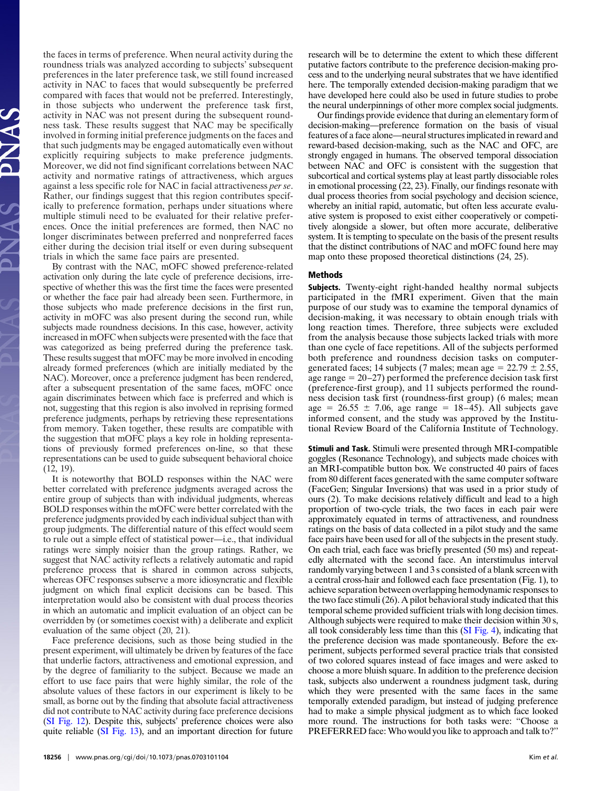the faces in terms of preference. When neural activity during the roundness trials was analyzed according to subjects' subsequent preferences in the later preference task, we still found increased activity in NAC to faces that would subsequently be preferred compared with faces that would not be preferred. Interestingly, in those subjects who underwent the preference task first, activity in NAC was not present during the subsequent roundness task. These results suggest that NAC may be specifically involved in forming initial preference judgments on the faces and that such judgments may be engaged automatically even without explicitly requiring subjects to make preference judgments. Moreover, we did not find significant correlations between NAC activity and normative ratings of attractiveness, which argues against a less specific role for NAC in facial attractiveness *per se*. Rather, our findings suggest that this region contributes specifically to preference formation, perhaps under situations where multiple stimuli need to be evaluated for their relative preferences. Once the initial preferences are formed, then NAC no longer discriminates between preferred and nonpreferred faces either during the decision trial itself or even during subsequent trials in which the same face pairs are presented.

By contrast with the NAC, mOFC showed preference-related activation only during the late cycle of preference decisions, irrespective of whether this was the first time the faces were presented or whether the face pair had already been seen. Furthermore, in those subjects who made preference decisions in the first run, activity in mOFC was also present during the second run, while subjects made roundness decisions. In this case, however, activity increased in mOFC when subjects were presented with the face that was categorized as being preferred during the preference task. These results suggest that mOFC may be more involved in encoding already formed preferences (which are initially mediated by the NAC). Moreover, once a preference judgment has been rendered, after a subsequent presentation of the same faces, mOFC once again discriminates between which face is preferred and which is not, suggesting that this region is also involved in reprising formed preference judgments, perhaps by retrieving these representations from memory. Taken together, these results are compatible with the suggestion that mOFC plays a key role in holding representations of previously formed preferences on-line, so that these representations can be used to guide subsequent behavioral choice (12, 19).

It is noteworthy that BOLD responses within the NAC were better correlated with preference judgments averaged across the entire group of subjects than with individual judgments, whereas BOLD responses within the mOFC were better correlated with the preference judgments provided by each individual subject than with group judgments. The differential nature of this effect would seem to rule out a simple effect of statistical power—i.e., that individual ratings were simply noisier than the group ratings. Rather, we suggest that NAC activity reflects a relatively automatic and rapid preference process that is shared in common across subjects, whereas OFC responses subserve a more idiosyncratic and flexible judgment on which final explicit decisions can be based. This interpretation would also be consistent with dual process theories in which an automatic and implicit evaluation of an object can be overridden by (or sometimes coexist with) a deliberate and explicit evaluation of the same object (20, 21).

Face preference decisions, such as those being studied in the present experiment, will ultimately be driven by features of the face that underlie factors, attractiveness and emotional expression, and by the degree of familiarity to the subject. Because we made an effort to use face pairs that were highly similar, the role of the absolute values of these factors in our experiment is likely to be small, as borne out by the finding that absolute facial attractiveness did not contribute to NAC activity during face preference decisions [\(SI Fig. 12\)](http://www.pnas.org/cgi/content/full/0703101104/DC1). Despite this, subjects' preference choices were also quite reliable [\(SI Fig. 13\)](http://www.pnas.org/cgi/content/full/0703101104/DC1), and an important direction for future research will be to determine the extent to which these different putative factors contribute to the preference decision-making process and to the underlying neural substrates that we have identified here. The temporally extended decision-making paradigm that we have developed here could also be used in future studies to probe the neural underpinnings of other more complex social judgments.

Our findings provide evidence that during an elementary form of decision-making—preference formation on the basis of visual features of a face alone—neural structures implicated in reward and reward-based decision-making, such as the NAC and OFC, are strongly engaged in humans. The observed temporal dissociation between NAC and OFC is consistent with the suggestion that subcortical and cortical systems play at least partly dissociable roles in emotional processing (22, 23). Finally, our findings resonate with dual process theories from social psychology and decision science, whereby an initial rapid, automatic, but often less accurate evaluative system is proposed to exist either cooperatively or competitively alongside a slower, but often more accurate, deliberative system. It is tempting to speculate on the basis of the present results that the distinct contributions of NAC and mOFC found here may map onto these proposed theoretical distinctions (24, 25).

#### **Methods**

**Subjects.** Twenty-eight right-handed healthy normal subjects participated in the fMRI experiment. Given that the main purpose of our study was to examine the temporal dynamics of decision-making, it was necessary to obtain enough trials with long reaction times. Therefore, three subjects were excluded from the analysis because those subjects lacked trials with more than one cycle of face repetitions. All of the subjects performed both preference and roundness decision tasks on computergenerated faces; 14 subjects (7 males; mean age  $= 22.79 \pm 2.55$ , age range  $= 20-27$ ) performed the preference decision task first (preference-first group), and 11 subjects performed the roundness decision task first (roundness-first group) (6 males; mean age =  $26.55 \pm 7.06$ , age range = 18-45). All subjects gave informed consent, and the study was approved by the Institutional Review Board of the California Institute of Technology.

**Stimuli and Task.** Stimuli were presented through MRI-compatible goggles (Resonance Technology), and subjects made choices with an MRI-compatible button box. We constructed 40 pairs of faces from 80 different faces generated with the same computer software (FaceGen; Singular Inversions) that was used in a prior study of ours (2). To make decisions relatively difficult and lead to a high proportion of two-cycle trials, the two faces in each pair were approximately equated in terms of attractiveness, and roundness ratings on the basis of data collected in a pilot study and the same face pairs have been used for all of the subjects in the present study. On each trial, each face was briefly presented (50 ms) and repeatedly alternated with the second face. An interstimulus interval randomly varying between 1 and 3 s consisted of a blank screen with a central cross-hair and followed each face presentation (Fig. 1), to achieve separation between overlapping hemodynamic responses to the two face stimuli (26). A pilot behavioral study indicated that this temporal scheme provided sufficient trials with long decision times. Although subjects were required to make their decision within 30 s, all took considerably less time than this [\(SI Fig. 4\)](http://www.pnas.org/cgi/content/full/0703101104/DC1), indicating that the preference decision was made spontaneously. Before the experiment, subjects performed several practice trials that consisted of two colored squares instead of face images and were asked to choose a more bluish square. In addition to the preference decision task, subjects also underwent a roundness judgment task, during which they were presented with the same faces in the same temporally extended paradigm, but instead of judging preference had to make a simple physical judgment as to which face looked more round. The instructions for both tasks were: ''Choose a PREFERRED face: Who would you like to approach and talk to?"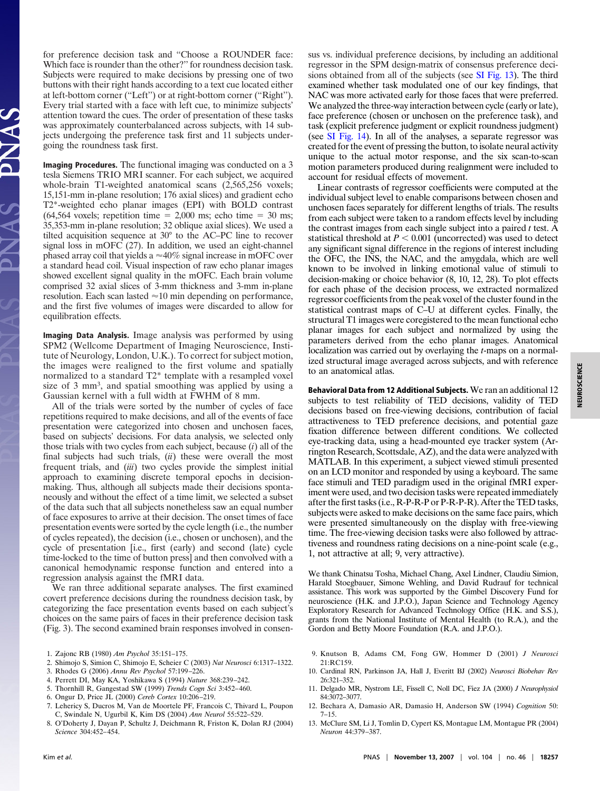for preference decision task and ''Choose a ROUNDER face: Which face is rounder than the other?'' for roundness decision task. Subjects were required to make decisions by pressing one of two buttons with their right hands according to a text cue located either at left-bottom corner (''Left'') or at right-bottom corner (''Right''). Every trial started with a face with left cue, to minimize subjects' attention toward the cues. The order of presentation of these tasks was approximately counterbalanced across subjects, with 14 subjects undergoing the preference task first and 11 subjects undergoing the roundness task first.

**Imaging Procedures.** The functional imaging was conducted on a 3 tesla Siemens TRIO MRI scanner. For each subject, we acquired whole-brain T1-weighted anatomical scans (2,565,256 voxels; 15,151-mm in-plane resolution; 176 axial slices) and gradient echo T2\*-weighted echo planar images (EPI) with BOLD contrast  $(64, 564$  voxels; repetition time = 2,000 ms; echo time = 30 ms; 35,353-mm in-plane resolution; 32 oblique axial slices). We used a tilted acquisition sequence at 30° to the AC–PC line to recover signal loss in mOFC (27). In addition, we used an eight-channel phased array coil that yields a  $\approx 40\%$  signal increase in mOFC over a standard head coil. Visual inspection of raw echo planar images showed excellent signal quality in the mOFC. Each brain volume comprised 32 axial slices of 3-mm thickness and 3-mm in-plane resolution. Each scan lasted  $\approx 10$  min depending on performance, and the first five volumes of images were discarded to allow for equilibration effects.

**Imaging Data Analysis.** Image analysis was performed by using SPM2 (Wellcome Department of Imaging Neuroscience, Institute of Neurology, London, U.K.). To correct for subject motion, the images were realigned to the first volume and spatially normalized to a standard T2\* template with a resampled voxel size of 3 mm3, and spatial smoothing was applied by using a Gaussian kernel with a full width at FWHM of 8 mm.

All of the trials were sorted by the number of cycles of face repetitions required to make decisions, and all of the events of face presentation were categorized into chosen and unchosen faces, based on subjects' decisions. For data analysis, we selected only those trials with two cycles from each subject, because (*i*) all of the final subjects had such trials, (*ii*) these were overall the most frequent trials, and (*iii*) two cycles provide the simplest initial approach to examining discrete temporal epochs in decisionmaking. Thus, although all subjects made their decisions spontaneously and without the effect of a time limit, we selected a subset of the data such that all subjects nonetheless saw an equal number of face exposures to arrive at their decision. The onset times of face presentation events were sorted by the cycle length (i.e., the number of cycles repeated), the decision (i.e., chosen or unchosen), and the cycle of presentation [i.e., first (early) and second (late) cycle time-locked to the time of button press] and then convolved with a canonical hemodynamic response function and entered into a regression analysis against the fMRI data.

We ran three additional separate analyses. The first examined covert preference decisions during the roundness decision task, by categorizing the face presentation events based on each subject's choices on the same pairs of faces in their preference decision task (Fig. 3). The second examined brain responses involved in consen-

- 2. Shimojo S, Simion C, Shimojo E, Scheier C (2003) *Nat Neurosci* 6:1317–1322.
- 3. Rhodes G (2006) *Annu Rev Psychol* 57:199–226.
- 4. Perrett DI, May KA, Yoshikawa S (1994) *Nature* 368:239–242.
- 5. Thornhill R, Gangestad SW (1999) *Trends Cogn Sci* 3:452–460.
- 6. Ongur D, Price JL (2000) *Cereb Cortex* 10:206–219.
- 7. Lehericy S, Ducros M, Van de Moortele PF, Francois C, Thivard L, Poupon C, Swindale N, Ugurbil K, Kim DS (2004) *Ann Neurol* 55:522–529.
- 8. O'Doherty J, Dayan P, Schultz J, Deichmann R, Friston K, Dolan RJ (2004) *Science* 304:452–454.

sus vs. individual preference decisions, by including an additional regressor in the SPM design-matrix of consensus preference decisions obtained from all of the subjects (see [SI Fig. 13\)](http://www.pnas.org/cgi/content/full/0703101104/DC1). The third examined whether task modulated one of our key findings, that NAC was more activated early for those faces that were preferred. We analyzed the three-way interaction between cycle (early or late), face preference (chosen or unchosen on the preference task), and task (explicit preference judgment or explicit roundness judgment) (see [SI Fig. 14\)](http://www.pnas.org/cgi/content/full/0703101104/DC1). In all of the analyses, a separate regressor was created for the event of pressing the button, to isolate neural activity unique to the actual motor response, and the six scan-to-scan motion parameters produced during realignment were included to account for residual effects of movement.

Linear contrasts of regressor coefficients were computed at the individual subject level to enable comparisons between chosen and unchosen faces separately for different lengths of trials. The results from each subject were taken to a random effects level by including the contrast images from each single subject into a paired *t* test. A statistical threshold at  $P < 0.001$  (uncorrected) was used to detect any significant signal difference in the regions of interest including the OFC, the INS, the NAC, and the amygdala, which are well known to be involved in linking emotional value of stimuli to decision-making or choice behavior (8, 10, 12, 28). To plot effects for each phase of the decision process, we extracted normalized regressor coefficients from the peak voxel of the cluster found in the statistical contrast maps of C–U at different cycles. Finally, the structural T1 images were coregistered to the mean functional echo planar images for each subject and normalized by using the parameters derived from the echo planar images. Anatomical localization was carried out by overlaying the *t*-maps on a normalized structural image averaged across subjects, and with reference to an anatomical atlas.

**Behavioral Data from 12 Additional Subjects.** We ran an additional 12 subjects to test reliability of TED decisions, validity of TED decisions based on free-viewing decisions, contribution of facial attractiveness to TED preference decisions, and potential gaze fixation difference between different conditions. We collected eye-tracking data, using a head-mounted eye tracker system (Arrington Research, Scottsdale, AZ), and the data were analyzed with MATLAB. In this experiment, a subject viewed stimuli presented on an LCD monitor and responded by using a keyboard. The same face stimuli and TED paradigm used in the original fMRI experiment were used, and two decision tasks were repeated immediately after the first tasks (i.e., R-P-R-P or P-R-P-R). After the TED tasks, subjects were asked to make decisions on the same face pairs, which were presented simultaneously on the display with free-viewing time. The free-viewing decision tasks were also followed by attractiveness and roundness rating decisions on a nine-point scale (e.g., 1, not attractive at all; 9, very attractive).

We thank Chinatsu Tosha, Michael Chang, Axel Lindner, Claudiu Simion, Harald Stoegbauer, Simone Wehling, and David Rudrauf for technical assistance. This work was supported by the Gimbel Discovery Fund for neuroscience (H.K. and J.P.O.), Japan Science and Technology Agency Exploratory Research for Advanced Technology Office (H.K. and S.S.), grants from the National Institute of Mental Health (to R.A.), and the Gordon and Betty Moore Foundation (R.A. and J.P.O.).

- 9. Knutson B, Adams CM, Fong GW, Hommer D (2001) *J Neurosci* 21:RC159.
- 10. Cardinal RN, Parkinson JA, Hall J, Everitt BJ (2002) *Neurosci Biobehav Rev* 26:321–352.
- 11. Delgado MR, Nystrom LE, Fissell C, Noll DC, Fiez JA (2000) *J Neurophysiol* 84:3072–3077.
- 12. Bechara A, Damasio AR, Damasio H, Anderson SW (1994) *Cognition* 50: 7–15.
- 13. McClure SM, Li J, Tomlin D, Cypert KS, Montague LM, Montague PR (2004) *Neuron* 44:379–387.

<sup>1.</sup> Zajonc RB (1980) *Am Psychol* 35:151–175.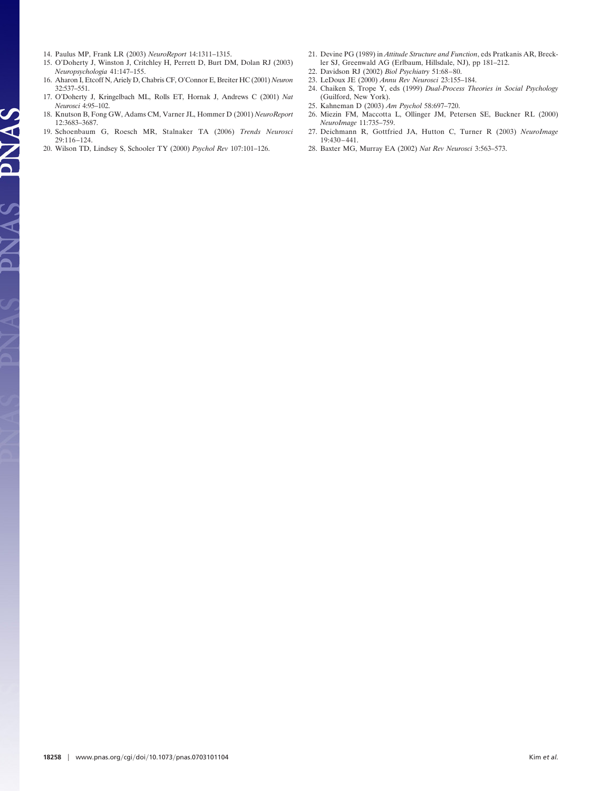- 14. Paulus MP, Frank LR (2003) *NeuroReport* 14:1311–1315.
- 15. O'Doherty J, Winston J, Critchley H, Perrett D, Burt DM, Dolan RJ (2003) *Neuropsychologia* 41:147–155.
- 16. Aharon I, Etcoff N, Ariely D, Chabris CF, O'Connor E, Breiter HC (2001) *Neuron* 32:537–551.
- 17. O'Doherty J, Kringelbach ML, Rolls ET, Hornak J, Andrews C (2001) *Nat Neurosci* 4:95–102.
- 18. Knutson B, Fong GW, Adams CM, Varner JL, Hommer D (2001) *NeuroReport* 12:3683–3687.
- 19. Schoenbaum G, Roesch MR, Stalnaker TA (2006) *Trends Neurosci* 29:116–124.
- 20. Wilson TD, Lindsey S, Schooler TY (2000) *Psychol Rev* 107:101–126.

PNAS PNAS

- 21. Devine PG (1989) in *Attitude Structure and Function*, eds Pratkanis AR, Breckler SJ, Greenwald AG (Erlbaum, Hillsdale, NJ), pp 181–212.
- 22. Davidson RJ (2002) *Biol Psychiatry* 51:68–80.
- 23. LeDoux JE (2000) *Annu Rev Neurosci* 23:155–184.
- 24. Chaiken S, Trope Y, eds (1999) *Dual-Process Theories in Social Psychology* (Guilford, New York).
- 25. Kahneman D (2003) *Am Psychol* 58:697–720.
- 26. Miezin FM, Maccotta L, Ollinger JM, Petersen SE, Buckner RL (2000) *NeuroImage* 11:735–759.
- 27. Deichmann R, Gottfried JA, Hutton C, Turner R (2003) *NeuroImage* 19:430–441.
- 28. Baxter MG, Murray EA (2002) *Nat Rev Neurosci* 3:563–573.